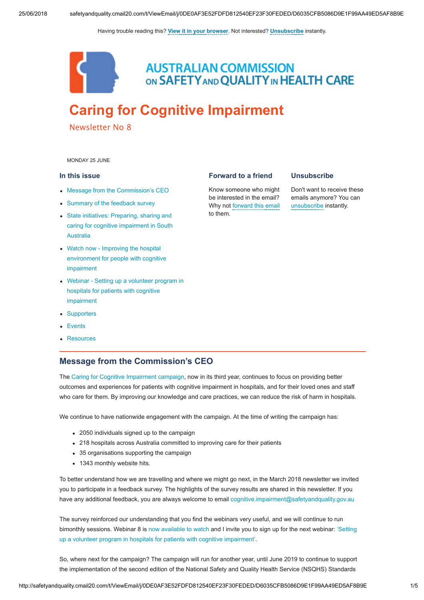Having trouble reading this? [View it in your browser](http://safetyandquality.createsend1.com/t/j-e-nwktdy-yhukqlddk-r/). Not interested? [Unsubscribe](http://safetyandquality.createsend1.com/t/j-u-nwktdy-yhukqlddk-y/) instantly.



**AUSTRALIAN COMMISSION** ON SAFETY AND QUALITY IN HEALTH CARE

# [Caring for Cognitive Impairment](https://safetyandquality.createsend1.com/t/j-l-nwktdy-yhukqlddk-i/)

Newsletter No 8

<span id="page-0-1"></span>MONDAY 25 JUNE

### In this issue

- [Message from the Commission's CEO](#page-0-0)
- [Summary of the feedback survey](#page-1-0)
- State initiatives: Preparing, sharing and [caring for cognitive impairment in South](#page-1-1) Australia
- Watch now Improving the hospital [environment for people with cognitive](#page-2-0) impairment
- [Webinar Setting up a volunteer program in](#page-3-0) hospitals for patients with cognitive impairment
- [Supporters](#page-3-1)
- [Events](#page-3-2)
- [Resources](#page-4-0)

## <span id="page-0-0"></span>Message from the Commission's CEO

The [Caring for Cognitive Impairment campaign](https://safetyandquality.createsend1.com/t/j-l-nwktdy-yhukqlddk-d/), now in its third year, continues to focus on providing better outcomes and experiences for patients with cognitive impairment in hospitals, and for their loved ones and staff who care for them. By improving our knowledge and care practices, we can reduce the risk of harm in hospitals.

We continue to have nationwide engagement with the campaign. At the time of writing the campaign has:

- 2050 individuals signed up to the campaign
- 218 hospitals across Australia committed to improving care for their patients
- 35 organisations supporting the campaign
- 1343 monthly website hits.

To better understand how we are travelling and where we might go next, in the March 2018 newsletter we invited you to participate in a feedback survey. The highlights of the survey results are shared in this newsletter. If you have any additional feedback, you are always welcome to email [cognitive.impairment@safetyandquality.gov.au](mailto:cognitive.impairment@safetyandquality.gov.au)

The survey reinforced our understanding that you find the webinars very useful, and we will continue to run [bimonthly sessions. Webinar 8 is](https://safetyandquality.createsend1.com/t/j-l-nwktdy-yhukqlddk-k/) [now available to watc](https://safetyandquality.createsend1.com/t/j-l-nwktdy-yhukqlddk-h/)[h and I invite you to sign up for the next webinar: 'Setting](https://safetyandquality.createsend1.com/t/j-l-nwktdy-yhukqlddk-k/) up a volunteer program in hospitals for patients with cognitive impairment'.

So, where next for the campaign? The campaign will run for another year, until June 2019 to continue to support the implementation of the second edition of the National Safety and Quality Health Service (NSQHS) Standards

#### Forward to a friend

Know someone who might be interested in the email? Why not [forward this email](http://safetyandquality.forwardtomyfriend.com/j-yhukqlddk-DE5B3E31-nwktdy-l-j) to them.

### **Unsubscribe**

Don't want to receive these emails anymore? You can [unsubscribe](http://safetyandquality.createsend1.com/t/j-u-nwktdy-yhukqlddk-t/) instantly.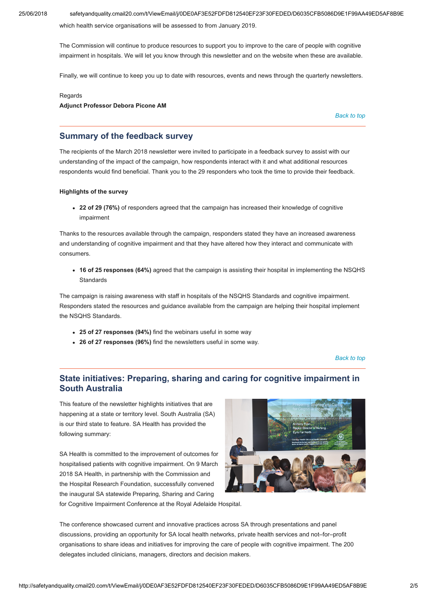25/06/2018 safetyandquality.cmail20.com/t/ViewEmail/j/0DE0AF3E52FDFD812540EF23F30FEDED/D6035CFB5086D9E1F99AA49ED5AF8B9E

which health service organisations will be assessed to from January 2019.

The Commission will continue to produce resources to support you to improve to the care of people with cognitive impairment in hospitals. We will let you know through this newsletter and on the website when these are available.

Finally, we will continue to keep you up to date with resources, events and news through the quarterly newsletters.

#### Regards

Adjunct Professor Debora Picone AM

[Back to top](#page-0-1)

### <span id="page-1-0"></span>Summary of the feedback survey

The recipients of the March 2018 newsletter were invited to participate in a feedback survey to assist with our understanding of the impact of the campaign, how respondents interact with it and what additional resources respondents would find beneficial. Thank you to the 29 responders who took the time to provide their feedback.

### Highlights of the survey

• 22 of 29 (76%) of responders agreed that the campaign has increased their knowledge of cognitive impairment

Thanks to the resources available through the campaign, responders stated they have an increased awareness and understanding of cognitive impairment and that they have altered how they interact and communicate with consumers.

16 of 25 responses (64%) agreed that the campaign is assisting their hospital in implementing the NSQHS **Standards** 

The campaign is raising awareness with staff in hospitals of the NSQHS Standards and cognitive impairment. Responders stated the resources and guidance available from the campaign are helping their hospital implement the NSQHS Standards.

- 25 of 27 responses (94%) find the webinars useful in some way
- 26 of 27 responses (96%) find the newsletters useful in some way.

[Back to top](#page-0-1)

# <span id="page-1-1"></span>State initiatives: Preparing, sharing and caring for cognitive impairment in South Australia

This feature of the newsletter highlights initiatives that are happening at a state or territory level. South Australia (SA) is our third state to feature. SA Health has provided the following summary:

SA Health is committed to the improvement of outcomes for hospitalised patients with cognitive impairment. On 9 March 2018 SA Health, in partnership with the Commission and the Hospital Research Foundation, successfully convened the inaugural SA statewide Preparing, Sharing and Caring for Cognitive Impairment Conference at the Royal Adelaide Hospital.



The conference showcased current and innovative practices across SA through presentations and panel discussions, providing an opportunity for SA local health networks, private health services and not–for–profit organisations to share ideas and initiatives for improving the care of people with cognitive impairment. The 200 delegates included clinicians, managers, directors and decision makers.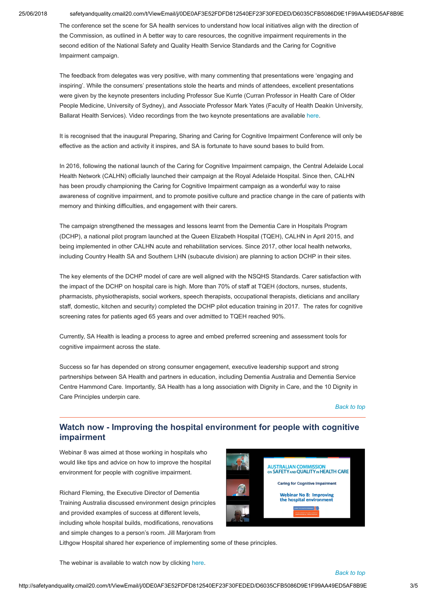### 25/06/2018 safetyandquality.cmail20.com/t/ViewEmail/j/0DE0AF3E52FDFD812540EF23F30FEDED/D6035CFB5086D9E1F99AA49ED5AF8B9E

The conference set the scene for SA health services to understand how local initiatives align with the direction of the Commission, as outlined in A better way to care resources, the cognitive impairment requirements in the second edition of the National Safety and Quality Health Service Standards and the Caring for Cognitive Impairment campaign.

The feedback from delegates was very positive, with many commenting that presentations were 'engaging and inspiring'. While the consumers' presentations stole the hearts and minds of attendees, excellent presentations were given by the keynote presenters including Professor Sue Kurrle (Curran Professor in Health Care of Older People Medicine, University of Sydney), and Associate Professor Mark Yates (Faculty of Health Deakin University, Ballarat Health Services). Video recordings from the two keynote presentations are available [here](https://safetyandquality.createsend1.com/t/j-l-nwktdy-yhukqlddk-u/).

It is recognised that the inaugural Preparing, Sharing and Caring for Cognitive Impairment Conference will only be effective as the action and activity it inspires, and SA is fortunate to have sound bases to build from.

In 2016, following the national launch of the Caring for Cognitive Impairment campaign, the Central Adelaide Local Health Network (CALHN) officially launched their campaign at the Royal Adelaide Hospital. Since then, CALHN has been proudly championing the Caring for Cognitive Impairment campaign as a wonderful way to raise awareness of cognitive impairment, and to promote positive culture and practice change in the care of patients with memory and thinking difficulties, and engagement with their carers.

The campaign strengthened the messages and lessons learnt from the Dementia Care in Hospitals Program (DCHP), a national pilot program launched at the Queen Elizabeth Hospital (TQEH), CALHN in April 2015, and being implemented in other CALHN acute and rehabilitation services. Since 2017, other local health networks, including Country Health SA and Southern LHN (subacute division) are planning to action DCHP in their sites.

The key elements of the DCHP model of care are well aligned with the NSQHS Standards. Carer satisfaction with the impact of the DCHP on hospital care is high. More than 70% of staff at TQEH (doctors, nurses, students, pharmacists, physiotherapists, social workers, speech therapists, occupational therapists, dieticians and ancillary staff, domestic, kitchen and security) completed the DCHP pilot education training in 2017. The rates for cognitive screening rates for patients aged 65 years and over admitted to TQEH reached 90%.

Currently, SA Health is leading a process to agree and embed preferred screening and assessment tools for cognitive impairment across the state.

Success so far has depended on strong consumer engagement, executive leadership support and strong partnerships between SA Health and partners in education, including Dementia Australia and Dementia Service Centre Hammond Care. Importantly, SA Health has a long association with Dignity in Care, and the 10 Dignity in Care Principles underpin care.

[Back to top](#page-0-1)

# <span id="page-2-0"></span>Watch now - Improving the hospital environment for people with cognitive impairment

Webinar 8 was aimed at those working in hospitals who would like tips and advice on how to improve the hospital environment for people with cognitive impairment.

Richard Fleming, the Executive Director of Dementia Training Australia discussed environment design principles and provided examples of success at different levels, including whole hospital builds, modifications, renovations and simple changes to a person's room. Jill Marjoram from



Lithgow Hospital shared her experience of implementing some of these principles.

The webinar is available to watch now by clicking [here.](https://safetyandquality.createsend1.com/t/j-l-nwktdy-yhukqlddk-b/)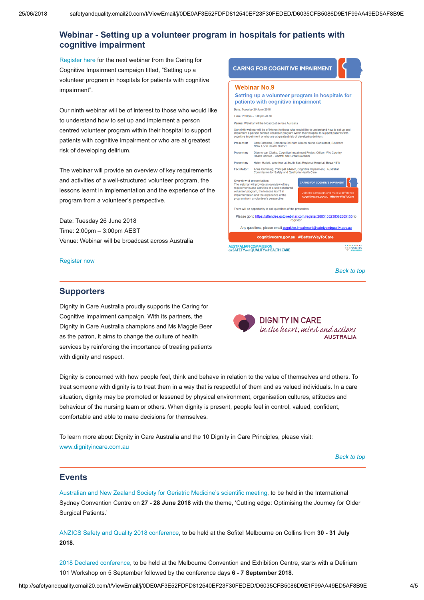# <span id="page-3-0"></span>Webinar - Setting up a volunteer program in hospitals for patients with cognitive impairment

[Register here](https://safetyandquality.createsend1.com/t/j-l-nwktdy-yhukqlddk-p/) for the next webinar from the Caring for Cognitive Impairment campaign titled, "Setting up a volunteer program in hospitals for patients with cognitive impairment".

Our ninth webinar will be of interest to those who would like to understand how to set up and implement a person centred volunteer program within their hospital to support patients with cognitive impairment or who are at greatest risk of developing delirium.

The webinar will provide an overview of key requirements and activities of a well-structured volunteer program, the lessons learnt in implementation and the experience of the program from a volunteer's perspective.

Date: Tuesday 26 June 2018 Time: 2:00pm – 3:00pm AEST Venue: Webinar will be broadcast across Australia

[Register now](https://safetyandquality.createsend1.com/t/j-l-nwktdy-yhukqlddk-x/)



[Back to top](#page-0-1)

### <span id="page-3-1"></span>**Supporters**

Dignity in Care Australia proudly supports the Caring for Cognitive Impairment campaign. With its partners, the Dignity in Care Australia champions and Ms Maggie Beer as the patron, it aims to change the culture of health services by reinforcing the importance of treating patients with dignity and respect.

**AUSTRALIA** 

**DIGNITY IN CARE** 

in the heart, mind and actions

Dignity is concerned with how people feel, think and behave in relation to the value of themselves and others. To treat someone with dignity is to treat them in a way that is respectful of them and as valued individuals. In a care situation, dignity may be promoted or lessened by physical environment, organisation cultures, attitudes and behaviour of the nursing team or others. When dignity is present, people feel in control, valued, confident, comfortable and able to make decisions for themselves.

To learn more about Dignity in Care Australia and the 10 Dignity in Care Principles, please visit: [www.dignityincare.com.au](https://safetyandquality.createsend1.com/t/j-l-nwktdy-yhukqlddk-c/)

[Back to top](#page-0-1)

### <span id="page-3-2"></span>Events

[Australian and New Zealand Society for Geriatric Medicine's scientific meeting,](https://safetyandquality.createsend1.com/t/j-l-nwktdy-yhukqlddk-q/) to be held in the International Sydney Convention Centre on 27 - 28 June 2018 with the theme, 'Cutting edge: Optimising the Journey for Older Surgical Patients.'

[ANZICS Safety and Quality 2018 conference,](https://safetyandquality.createsend1.com/t/j-l-nwktdy-yhukqlddk-a/) to be held at the Sofitel Melbourne on Collins from 30 - 31 July 2018.

[2018 Declared conference,](https://safetyandquality.createsend1.com/t/j-l-nwktdy-yhukqlddk-f/) to be held at the Melbourne Convention and Exhibition Centre, starts with a Delirium 101 Workshop on 5 September followed by the conference days 6 - 7 September 2018.